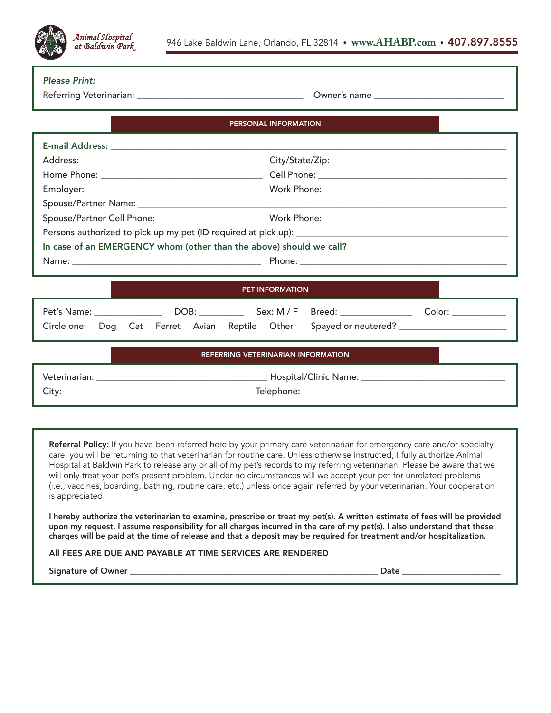

|  |  |  | <b>Please Print:</b> |
|--|--|--|----------------------|
|--|--|--|----------------------|

Referring Veterinarian: \_\_\_\_\_\_\_\_\_\_\_\_\_\_\_\_\_\_\_\_\_\_\_\_\_\_\_\_\_\_\_\_\_\_\_\_\_ Owner's name \_\_\_\_\_\_\_\_\_\_\_\_\_\_\_\_\_\_\_\_\_\_\_\_\_\_\_\_\_

| <b>PERSONAL INFORMATION</b>                                                                                                                                                                                                                       |                                    |  |  |  |  |
|---------------------------------------------------------------------------------------------------------------------------------------------------------------------------------------------------------------------------------------------------|------------------------------------|--|--|--|--|
|                                                                                                                                                                                                                                                   |                                    |  |  |  |  |
|                                                                                                                                                                                                                                                   |                                    |  |  |  |  |
|                                                                                                                                                                                                                                                   |                                    |  |  |  |  |
|                                                                                                                                                                                                                                                   |                                    |  |  |  |  |
|                                                                                                                                                                                                                                                   |                                    |  |  |  |  |
|                                                                                                                                                                                                                                                   |                                    |  |  |  |  |
|                                                                                                                                                                                                                                                   |                                    |  |  |  |  |
| In case of an EMERGENCY whom (other than the above) should we call?                                                                                                                                                                               |                                    |  |  |  |  |
|                                                                                                                                                                                                                                                   |                                    |  |  |  |  |
|                                                                                                                                                                                                                                                   |                                    |  |  |  |  |
| <b>PET INFORMATION</b>                                                                                                                                                                                                                            |                                    |  |  |  |  |
|                                                                                                                                                                                                                                                   |                                    |  |  |  |  |
| Circle one:                                                                                                                                                                                                                                       | Dog Cat Ferret Avian Reptile Other |  |  |  |  |
| <b>REFERRING VETERINARIAN INFORMATION</b>                                                                                                                                                                                                         |                                    |  |  |  |  |
|                                                                                                                                                                                                                                                   |                                    |  |  |  |  |
|                                                                                                                                                                                                                                                   |                                    |  |  |  |  |
|                                                                                                                                                                                                                                                   |                                    |  |  |  |  |
| Referral Policy: If you have been referred here by your primary care veterinarian for emergency care and/or specialty<br>care, you will be returning to that veterinarian for routine care. Unless otherwise instructed, I fully authorize Animal |                                    |  |  |  |  |

Hospital at Baldwin Park to release any or all of my pet's records to my referring veterinarian. Please be aware that we will only treat your pet's present problem. Under no circumstances will we accept your pet for unrelated problems (i.e.; vaccines, boarding, bathing, routine care, etc.) unless once again referred by your veterinarian. Your cooperation is appreciated.

I hereby authorize the veterinarian to examine, prescribe or treat my pet(s). A written estimate of fees will be provided upon my request. I assume responsibility for all charges incurred in the care of my pet(s). I also understand that these charges will be paid at the time of release and that a deposit may be required for treatment and/or hospitalization.

All FEES ARE DUE AND PAYABLE AT TIME SERVICES ARE RENDERED

Signature of Owner \_\_\_\_\_\_\_\_\_\_\_\_\_\_\_\_\_\_\_\_\_\_\_\_\_\_\_\_\_\_\_\_\_\_\_\_\_\_\_\_\_\_\_\_\_\_\_\_\_\_\_\_\_\_\_\_\_\_ Date \_\_\_\_\_\_\_\_\_\_\_\_\_\_\_\_\_\_\_\_\_\_\_